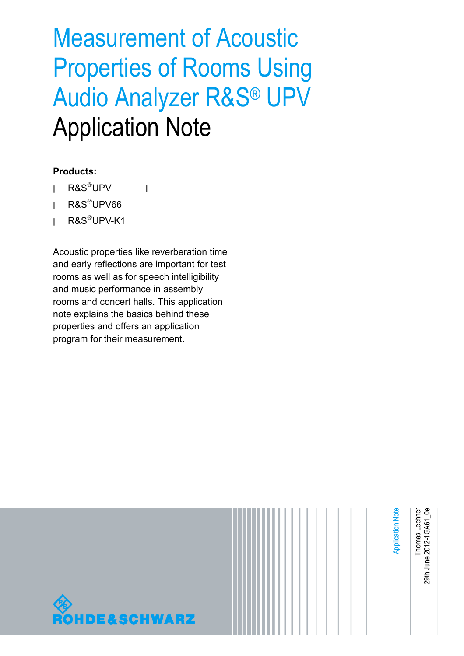# Measurement of Acoustic Properties of Rooms Using Audio Analyzer R&S® UPV Application Note

#### **Products:**

- **<sup>|</sup>** R&SUPV
- **<sup>|</sup>** R&SUPV66
- **<sup>|</sup>** R&SUPV-K1

Acoustic properties like reverberation time and early reflections are important for test rooms as well as for speech intelligibility and music performance in assembly rooms and concert halls. This application note explains the basics behind these properties and offers an application program for their measurement.

**|**

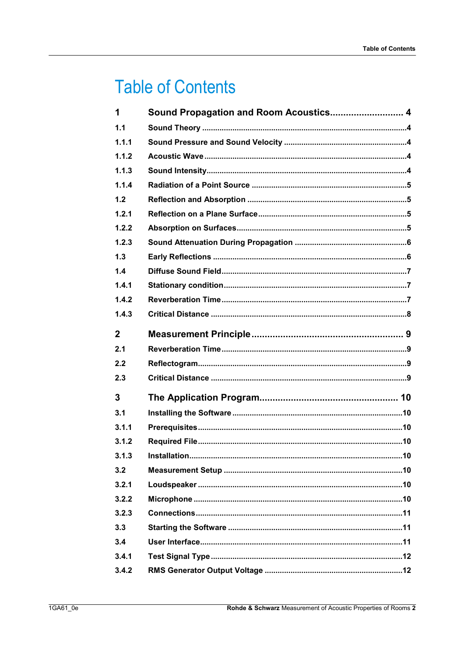## **Table of Contents**

| 1            | Sound Propagation and Room Acoustics 4 |  |
|--------------|----------------------------------------|--|
| 1.1          |                                        |  |
| 1.1.1        |                                        |  |
| 1.1.2        |                                        |  |
| 1.1.3        |                                        |  |
| 1.1.4        |                                        |  |
| 1.2          |                                        |  |
| 1.2.1        |                                        |  |
| 1.2.2        |                                        |  |
| 1.2.3        |                                        |  |
| 1.3          |                                        |  |
| 1.4          |                                        |  |
| 1.4.1        |                                        |  |
| 1.4.2        |                                        |  |
| 1.4.3        |                                        |  |
| $\mathbf{2}$ |                                        |  |
| 2.1          |                                        |  |
| 2.2          |                                        |  |
|              |                                        |  |
| 2.3          |                                        |  |
| 3            |                                        |  |
| 3.1          |                                        |  |
| 3.1.1        |                                        |  |
| 3.1.2        |                                        |  |
| 3.1.3        |                                        |  |
| 3.2          |                                        |  |
| 3.2.1        |                                        |  |
| 3.2.2        |                                        |  |
| 3.2.3        |                                        |  |
| 3.3          |                                        |  |
| 3.4          |                                        |  |
| 3.4.1        |                                        |  |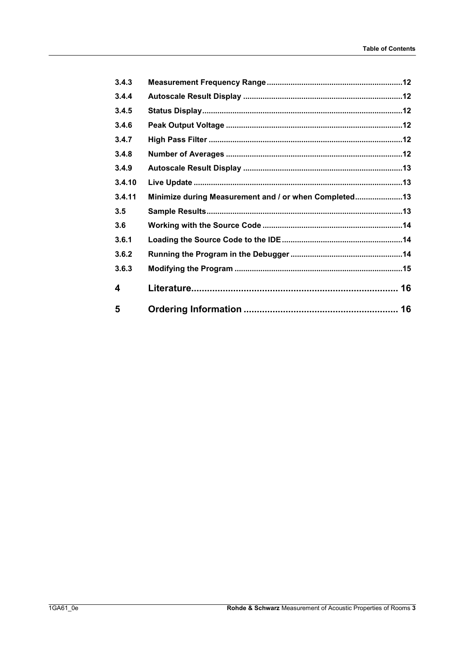| 3.4.3  |                                                       |  |
|--------|-------------------------------------------------------|--|
| 3.4.4  |                                                       |  |
| 3.4.5  |                                                       |  |
| 3.4.6  |                                                       |  |
| 3.4.7  |                                                       |  |
| 3.4.8  |                                                       |  |
| 3.4.9  |                                                       |  |
| 3.4.10 |                                                       |  |
| 3.4.11 | Minimize during Measurement and / or when Completed13 |  |
| 3.5    |                                                       |  |
| 3.6    |                                                       |  |
| 3.6.1  |                                                       |  |
| 3.6.2  |                                                       |  |
| 3.6.3  |                                                       |  |
| 4      |                                                       |  |
| 5      |                                                       |  |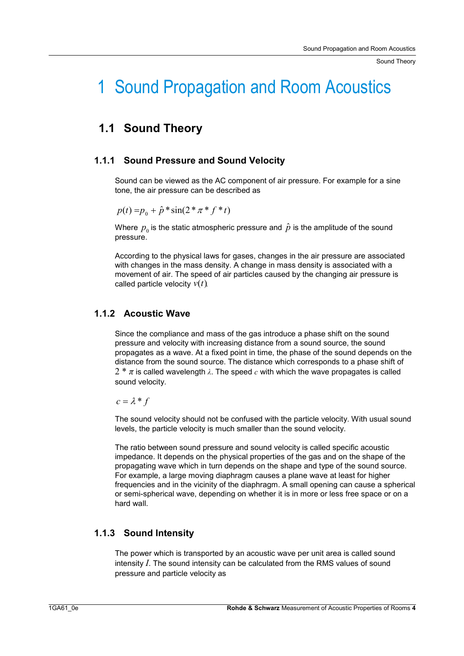Sound Theory

## 1 Sound Propagation and Room Acoustics

## **1.1 Sound Theory**

#### **1.1.1 Sound Pressure and Sound Velocity**

Sound can be viewed as the AC component of air pressure. For example for a sine tone, the air pressure can be described as

$$
p(t) = p_0 + \hat{p} * \sin(2 * \pi * f * t)
$$

Where  $\,p_{_0}$  is the static atmospheric pressure and  $\,\hat{p}\,$  is the amplitude of the sound pressure.

According to the physical laws for gases, changes in the air pressure are associated with changes in the mass density. A change in mass density is associated with a movement of air. The speed of air particles caused by the changing air pressure is called particle velocity  $v(t)$ 

#### **1.1.2 Acoustic Wave**

Since the compliance and mass of the gas introduce a phase shift on the sound pressure and velocity with increasing distance from a sound source, the sound propagates as a wave. At a fixed point in time, the phase of the sound depends on the distance from the sound source. The distance which corresponds to a phase shift of  $2 * \pi$  is called wavelength  $\lambda$ . The speed  $c$  with which the wave propagates is called sound velocity.

 $c = \lambda * f$ 

The sound velocity should not be confused with the particle velocity. With usual sound levels, the particle velocity is much smaller than the sound velocity.

The ratio between sound pressure and sound velocity is called specific acoustic impedance. It depends on the physical properties of the gas and on the shape of the propagating wave which in turn depends on the shape and type of the sound source. For example, a large moving diaphragm causes a plane wave at least for higher frequencies and in the vicinity of the diaphragm. A small opening can cause a spherical or semi-spherical wave, depending on whether it is in more or less free space or on a hard wall.

#### **1.1.3 Sound Intensity**

The power which is transported by an acoustic wave per unit area is called sound intensity *I*. The sound intensity can be calculated from the RMS values of sound pressure and particle velocity as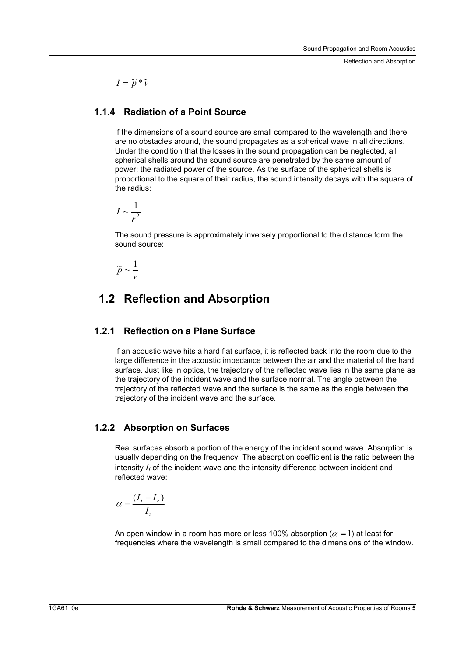Reflection and Absorption

 $I = \widetilde{p} * \widetilde{v}$ 

#### **1.1.4 Radiation of a Point Source**

If the dimensions of a sound source are small compared to the wavelength and there are no obstacles around, the sound propagates as a spherical wave in all directions. Under the condition that the losses in the sound propagation can be neglected, all spherical shells around the sound source are penetrated by the same amount of power: the radiated power of the source. As the surface of the spherical shells is proportional to the square of their radius, the sound intensity decays with the square of the radius:

$$
I \sim \frac{1}{r^2}
$$

The sound pressure is approximately inversely proportional to the distance form the sound source:

$$
\widetilde{p} \sim \frac{1}{r}
$$

## **1.2 Reflection and Absorption**

#### **1.2.1 Reflection on a Plane Surface**

If an acoustic wave hits a hard flat surface, it is reflected back into the room due to the large difference in the acoustic impedance between the air and the material of the hard surface. Just like in optics, the trajectory of the reflected wave lies in the same plane as the trajectory of the incident wave and the surface normal. The angle between the trajectory of the reflected wave and the surface is the same as the angle between the trajectory of the incident wave and the surface.

#### **1.2.2 Absorption on Surfaces**

Real surfaces absorb a portion of the energy of the incident sound wave. Absorption is usually depending on the frequency. The absorption coefficient is the ratio between the intensity  $I_i$  of the incident wave and the intensity difference between incident and reflected wave:

$$
\alpha = \frac{(I_i - I_r)}{I_i}
$$

An open window in a room has more or less 100% absorption ( $\alpha =$  1) at least for frequencies where the wavelength is small compared to the dimensions of the window.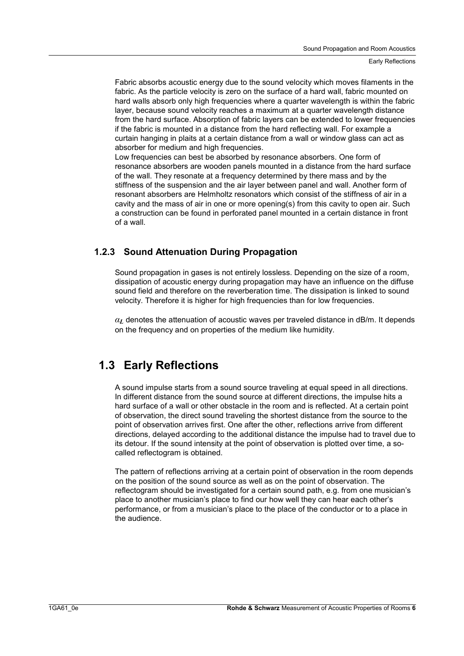Fabric absorbs acoustic energy due to the sound velocity which moves filaments in the fabric. As the particle velocity is zero on the surface of a hard wall, fabric mounted on hard walls absorb only high frequencies where a quarter wavelength is within the fabric layer, because sound velocity reaches a maximum at a quarter wavelength distance from the hard surface. Absorption of fabric layers can be extended to lower frequencies if the fabric is mounted in a distance from the hard reflecting wall. For example a curtain hanging in plaits at a certain distance from a wall or window glass can act as absorber for medium and high frequencies.

Low frequencies can best be absorbed by resonance absorbers. One form of resonance absorbers are wooden panels mounted in a distance from the hard surface of the wall. They resonate at a frequency determined by there mass and by the stiffness of the suspension and the air layer between panel and wall. Another form of resonant absorbers are Helmholtz resonators which consist of the stiffness of air in a cavity and the mass of air in one or more opening(s) from this cavity to open air. Such a construction can be found in perforated panel mounted in a certain distance in front of a wall.

#### **1.2.3 Sound Attenuation During Propagation**

Sound propagation in gases is not entirely lossless. Depending on the size of a room, dissipation of acoustic energy during propagation may have an influence on the diffuse sound field and therefore on the reverberation time. The dissipation is linked to sound velocity. Therefore it is higher for high frequencies than for low frequencies.

 $\alpha$ , denotes the attenuation of acoustic waves per traveled distance in dB/m. It depends on the frequency and on properties of the medium like humidity.

## **1.3 Early Reflections**

A sound impulse starts from a sound source traveling at equal speed in all directions. In different distance from the sound source at different directions, the impulse hits a hard surface of a wall or other obstacle in the room and is reflected. At a certain point of observation, the direct sound traveling the shortest distance from the source to the point of observation arrives first. One after the other, reflections arrive from different directions, delayed according to the additional distance the impulse had to travel due to its detour. If the sound intensity at the point of observation is plotted over time, a socalled reflectogram is obtained.

The pattern of reflections arriving at a certain point of observation in the room depends on the position of the sound source as well as on the point of observation. The reflectogram should be investigated for a certain sound path, e.g. from one musician's place to another musician's place to find our how well they can hear each other's performance, or from a musician's place to the place of the conductor or to a place in the audience.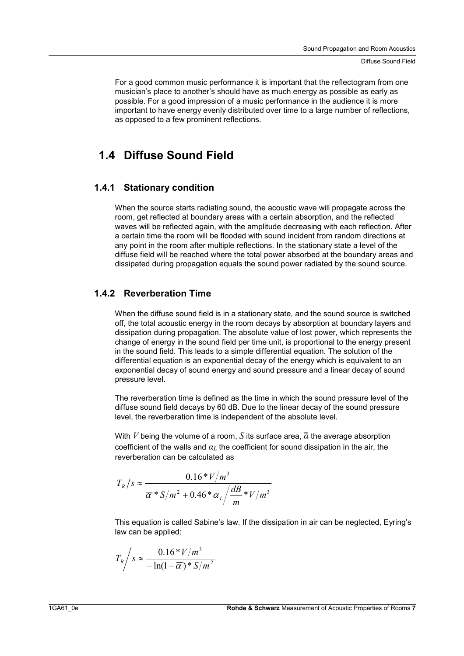For a good common music performance it is important that the reflectogram from one musician's place to another's should have as much energy as possible as early as possible. For a good impression of a music performance in the audience it is more important to have energy evenly distributed over time to a large number of reflections, as opposed to a few prominent reflections.

### **1.4 Diffuse Sound Field**

#### **1.4.1 Stationary condition**

When the source starts radiating sound, the acoustic wave will propagate across the room, get reflected at boundary areas with a certain absorption, and the reflected waves will be reflected again, with the amplitude decreasing with each reflection. After a certain time the room will be flooded with sound incident from random directions at any point in the room after multiple reflections. In the stationary state a level of the diffuse field will be reached where the total power absorbed at the boundary areas and dissipated during propagation equals the sound power radiated by the sound source.

#### **1.4.2 Reverberation Time**

When the diffuse sound field is in a stationary state, and the sound source is switched off, the total acoustic energy in the room decays by absorption at boundary layers and dissipation during propagation. The absolute value of lost power, which represents the change of energy in the sound field per time unit, is proportional to the energy present in the sound field. This leads to a simple differential equation. The solution of the differential equation is an exponential decay of the energy which is equivalent to an exponential decay of sound energy and sound pressure and a linear decay of sound pressure level.

The reverberation time is defined as the time in which the sound pressure level of the diffuse sound field decays by 60 dB. Due to the linear decay of the sound pressure level, the reverberation time is independent of the absolute level.

With *V* being the volume of a room, *S* its surface area,  $\bar{\alpha}$  the average absorption coefficient of the walls and  $a<sub>L</sub>$  the coefficient for sound dissipation in the air, the reverberation can be calculated as

$$
T_R/s \approx \frac{0.16 \cdot V/m^3}{\overline{\alpha} \cdot s/m^2 + 0.46 \cdot \alpha_L / \frac{dB}{m} \cdot V/m^3}
$$

This equation is called Sabine's law. If the dissipation in air can be neglected, Eyring's law can be applied:

$$
T_R / s \approx \frac{0.16 \cdot V/m^3}{-\ln(1-\overline{\alpha}) \cdot S/m^2}
$$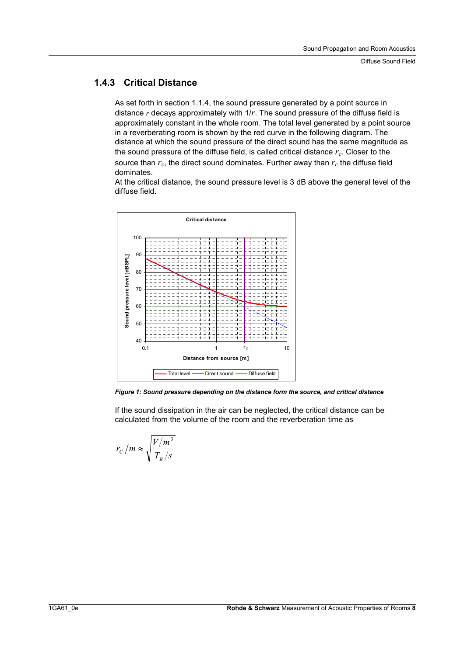#### **1.4.3 Critical Distance**

As set forth in section 1.1.4, the sound pressure generated by a point source in distance *r* decays approximately with 1/*r*. The sound pressure of the diffuse field is approximately constant in the whole room. The total level generated by a point source in a reverberating room is shown by the red curve in the following diagram. The distance at which the sound pressure of the direct sound has the same magnitude as the sound pressure of the diffuse field, is called critical distance  $r_c$ . Closer to the source than  $r_c$ , the direct sound dominates. Further away than  $r_c$  the diffuse field dominates.

At the critical distance, the sound pressure level is 3 dB above the general level of the diffuse field.



*Figure 1: Sound pressure depending on the distance form the source, and critical distance* 

If the sound dissipation in the air can be neglected, the critical distance can be calculated from the volume of the room and the reverberation time as

$$
r_{C}/m \approx \sqrt{\frac{V/m^{3}}{T_{R}/s}}
$$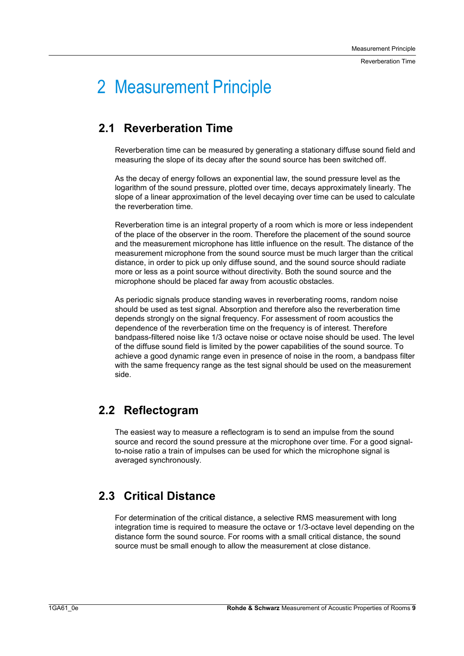## 2 Measurement Principle

## **2.1 Reverberation Time**

Reverberation time can be measured by generating a stationary diffuse sound field and measuring the slope of its decay after the sound source has been switched off.

As the decay of energy follows an exponential law, the sound pressure level as the logarithm of the sound pressure, plotted over time, decays approximately linearly. The slope of a linear approximation of the level decaying over time can be used to calculate the reverberation time.

Reverberation time is an integral property of a room which is more or less independent of the place of the observer in the room. Therefore the placement of the sound source and the measurement microphone has little influence on the result. The distance of the measurement microphone from the sound source must be much larger than the critical distance, in order to pick up only diffuse sound, and the sound source should radiate more or less as a point source without directivity. Both the sound source and the microphone should be placed far away from acoustic obstacles.

As periodic signals produce standing waves in reverberating rooms, random noise should be used as test signal. Absorption and therefore also the reverberation time depends strongly on the signal frequency. For assessment of room acoustics the dependence of the reverberation time on the frequency is of interest. Therefore bandpass-filtered noise like 1/3 octave noise or octave noise should be used. The level of the diffuse sound field is limited by the power capabilities of the sound source. To achieve a good dynamic range even in presence of noise in the room, a bandpass filter with the same frequency range as the test signal should be used on the measurement side.

## **2.2 Reflectogram**

The easiest way to measure a reflectogram is to send an impulse from the sound source and record the sound pressure at the microphone over time. For a good signalto-noise ratio a train of impulses can be used for which the microphone signal is averaged synchronously.

## **2.3 Critical Distance**

For determination of the critical distance, a selective RMS measurement with long integration time is required to measure the octave or 1/3-octave level depending on the distance form the sound source. For rooms with a small critical distance, the sound source must be small enough to allow the measurement at close distance.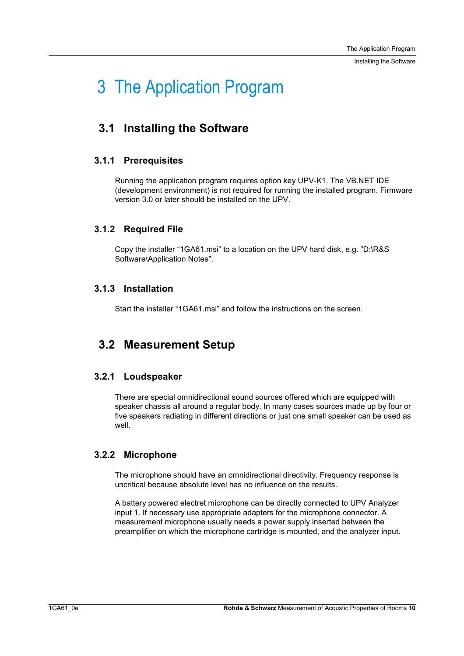Installing the Software

## 3 The Application Program

## **3.1 Installing the Software**

#### **3.1.1 Prerequisites**

Running the application program requires option key UPV-K1. The VB.NET IDE (development environment) is not required for running the installed program. Firmware version 3.0 or later should be installed on the UPV.

#### **3.1.2 Required File**

Copy the installer "1GA61.msi" to a location on the UPV hard disk, e.g. "D:\R&S Software\Application Notes".

#### **3.1.3 Installation**

Start the installer "1GA61.msi" and follow the instructions on the screen.

## **3.2 Measurement Setup**

#### **3.2.1 Loudspeaker**

There are special omnidirectional sound sources offered which are equipped with speaker chassis all around a regular body. In many cases sources made up by four or five speakers radiating in different directions or just one small speaker can be used as well.

#### **3.2.2 Microphone**

The microphone should have an omnidirectional directivity. Frequency response is uncritical because absolute level has no influence on the results.

A battery powered electret microphone can be directly connected to UPV Analyzer input 1. If necessary use appropriate adapters for the microphone connector. A measurement microphone usually needs a power supply inserted between the preamplifier on which the microphone cartridge is mounted, and the analyzer input.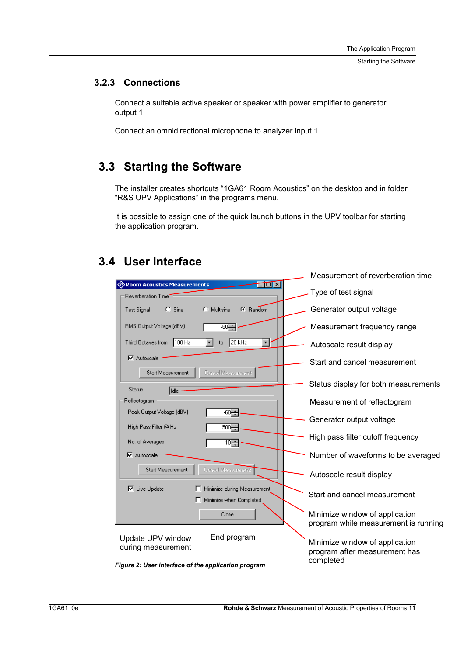Starting the Software

#### **3.2.3 Connections**

Connect a suitable active speaker or speaker with power amplifier to generator output 1.

Connect an omnidirectional microphone to analyzer input 1.

## **3.3 Starting the Software**

The installer creates shortcuts "1GA61 Room Acoustics" on the desktop and in folder "R&S UPV Applications" in the programs menu.

It is possible to assign one of the quick launch buttons in the UPV toolbar for starting the application program.

## **3.4 User Interface**

|                                                                    | Measurement of reverberation time    |
|--------------------------------------------------------------------|--------------------------------------|
| <b>TOIX</b><br><b>EXOOM Acoustics Measurements</b>                 | Type of test signal                  |
| <b>Reverberation Time</b>                                          |                                      |
| $C$ Sine<br>$\bigcirc$ Multisine<br>C Random<br><b>Test Signal</b> | Generator output voltage             |
| RMS Output Voltage (dBV)<br>$-60 \rightarrow$                      | Measurement frequency range          |
| $20$ kHz<br>Third Octaves from<br>$100$ Hz<br>to                   | Autoscale result display             |
| $\nabla$ Autoscale                                                 | Start and cancel measurement         |
| Cancel Measurement<br>Start Measurement                            |                                      |
| <b>Status</b><br>lldle                                             | Status display for both measurements |
| Reflectogram ·                                                     | Measurement of reflectogram          |
| Peak Output Voltage (dBV)                                          |                                      |
| $-60 -$                                                            | Generator output voltage             |
| 500 국<br>High Pass Filter @ Hz                                     |                                      |
|                                                                    | High pass filter cutoff frequency    |
| No. of Averages<br>$10 -$                                          |                                      |
| Autoscale<br>R                                                     | Number of waveforms to be averaged   |
|                                                                    |                                      |
| <b>Start Measurement</b><br>Cancel Measurement                     | Autoscale result display             |
|                                                                    |                                      |
| Live Update<br>Minimize during Measurement<br>⊽                    |                                      |
| Minimize when Completed                                            | Start and cancel measurement         |
|                                                                    |                                      |
| Close                                                              | Minimize window of application       |
|                                                                    | program while measurement is running |
| End program<br>Update UPV window                                   |                                      |
| during measurement                                                 | Minimize window of application       |
|                                                                    | program after measurement has        |
| $\theta$ . Ils su futures subsequently and $\theta$                | completed                            |

*Figure 2: User interface of the application program*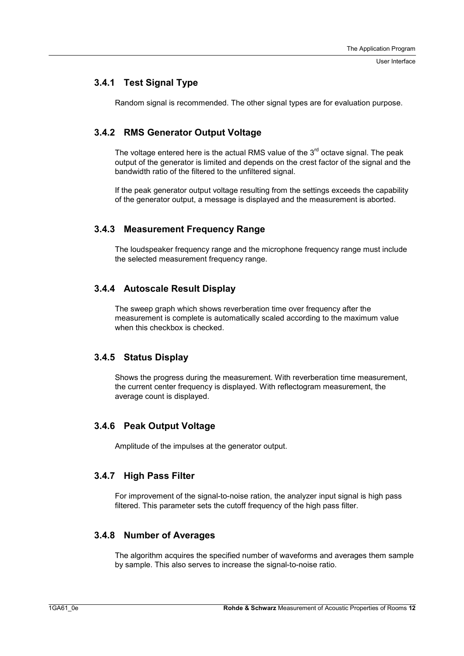User Interface

#### **3.4.1 Test Signal Type**

Random signal is recommended. The other signal types are for evaluation purpose.

#### **3.4.2 RMS Generator Output Voltage**

The voltage entered here is the actual RMS value of the  $3<sup>rd</sup>$  octave signal. The peak output of the generator is limited and depends on the crest factor of the signal and the bandwidth ratio of the filtered to the unfiltered signal.

If the peak generator output voltage resulting from the settings exceeds the capability of the generator output, a message is displayed and the measurement is aborted.

#### **3.4.3 Measurement Frequency Range**

The loudspeaker frequency range and the microphone frequency range must include the selected measurement frequency range.

#### **3.4.4 Autoscale Result Display**

The sweep graph which shows reverberation time over frequency after the measurement is complete is automatically scaled according to the maximum value when this checkbox is checked.

#### **3.4.5 Status Display**

Shows the progress during the measurement. With reverberation time measurement, the current center frequency is displayed. With reflectogram measurement, the average count is displayed.

#### **3.4.6 Peak Output Voltage**

Amplitude of the impulses at the generator output.

#### **3.4.7 High Pass Filter**

For improvement of the signal-to-noise ration, the analyzer input signal is high pass filtered. This parameter sets the cutoff frequency of the high pass filter.

#### **3.4.8 Number of Averages**

The algorithm acquires the specified number of waveforms and averages them sample by sample. This also serves to increase the signal-to-noise ratio.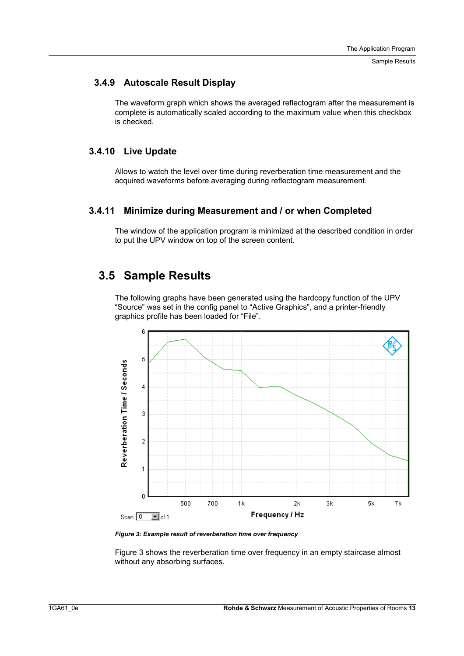Sample Results

#### **3.4.9 Autoscale Result Display**

The waveform graph which shows the averaged reflectogram after the measurement is complete is automatically scaled according to the maximum value when this checkbox is checked.

#### **3.4.10 Live Update**

Allows to watch the level over time during reverberation time measurement and the acquired waveforms before averaging during reflectogram measurement.

#### **3.4.11 Minimize during Measurement and / or when Completed**

The window of the application program is minimized at the described condition in order to put the UPV window on top of the screen content.

### **3.5 Sample Results**

The following graphs have been generated using the hardcopy function of the UPV "Source" was set in the config panel to "Active Graphics", and a printer-friendly graphics profile has been loaded for "File".



*Figure 3: Example result of reverberation time over frequency* 

Figure 3 shows the reverberation time over frequency in an empty staircase almost without any absorbing surfaces.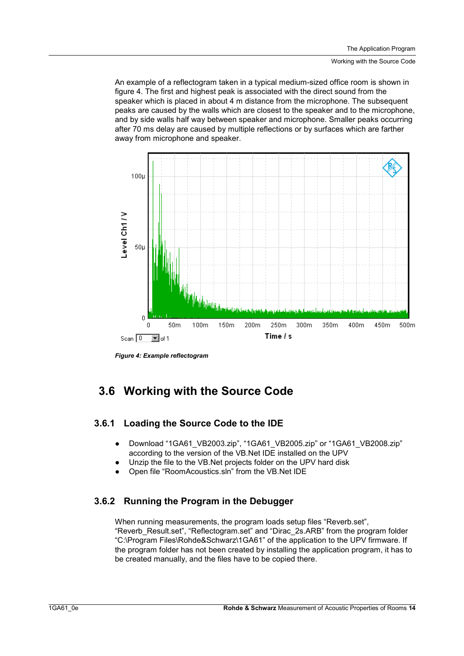An example of a reflectogram taken in a typical medium-sized office room is shown in figure 4. The first and highest peak is associated with the direct sound from the speaker which is placed in about 4 m distance from the microphone. The subsequent peaks are caused by the walls which are closest to the speaker and to the microphone, and by side walls half way between speaker and microphone. Smaller peaks occurring after 70 ms delay are caused by multiple reflections or by surfaces which are farther away from microphone and speaker.



*Figure 4: Example reflectogram* 

## **3.6 Working with the Source Code**

#### **3.6.1 Loading the Source Code to the IDE**

- Download "1GA61\_VB2003.zip", "1GA61\_VB2005.zip" or "1GA61\_VB2008.zip" according to the version of the VB.Net IDE installed on the UPV
- Unzip the file to the VB.Net projects folder on the UPV hard disk
- Open file "RoomAcoustics.sln" from the VB.Net IDE

#### **3.6.2 Running the Program in the Debugger**

When running measurements, the program loads setup files "Reverb.set", "Reverb\_Result.set", "Reflectogram.set" and "Dirac\_2s.ARB" from the program folder "C:\Program Files\Rohde&Schwarz\1GA61" of the application to the UPV firmware. If the program folder has not been created by installing the application program, it has to be created manually, and the files have to be copied there.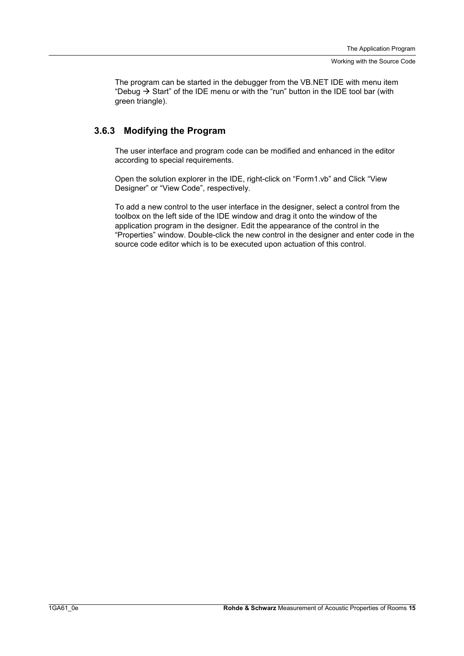The program can be started in the debugger from the VB.NET IDE with menu item "Debug  $\rightarrow$  Start" of the IDE menu or with the "run" button in the IDE tool bar (with green triangle).

#### **3.6.3 Modifying the Program**

The user interface and program code can be modified and enhanced in the editor according to special requirements.

Open the solution explorer in the IDE, right-click on "Form1.vb" and Click "View Designer" or "View Code", respectively.

To add a new control to the user interface in the designer, select a control from the toolbox on the left side of the IDE window and drag it onto the window of the application program in the designer. Edit the appearance of the control in the "Properties" window. Double-click the new control in the designer and enter code in the source code editor which is to be executed upon actuation of this control.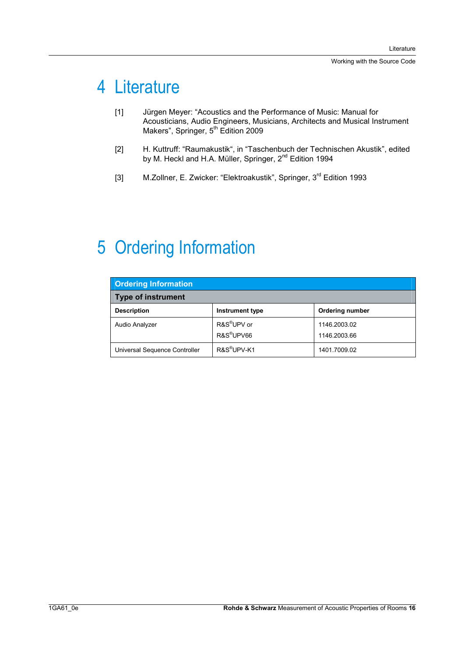## 4 Literature

- [1] Jürgen Meyer: "Acoustics and the Performance of Music: Manual for Acousticians, Audio Engineers, Musicians, Architects and Musical Instrument Makers", Springer, 5<sup>th</sup> Edition 2009
- [2] H. Kuttruff: "Raumakustik", in "Taschenbuch der Technischen Akustik", edited by M. Heckl and H.A. Müller, Springer, 2<sup>nd</sup> Edition 1994
- [3] M.Zollner, E. Zwicker: "Elektroakustik", Springer, 3<sup>rd</sup> Edition 1993

## 5 Ordering Information

| <b>Ordering Information</b>   |                                                   |                              |  |  |  |  |
|-------------------------------|---------------------------------------------------|------------------------------|--|--|--|--|
| <b>Type of instrument</b>     |                                                   |                              |  |  |  |  |
| <b>Description</b>            | Instrument type                                   | <b>Ordering number</b>       |  |  |  |  |
| Audio Analyzer                | R&S <sup>®</sup> UPV or<br>R&S <sup>®</sup> UPV66 | 1146.2003.02<br>1146.2003.66 |  |  |  |  |
| Universal Sequence Controller | R&S <sup>®</sup> UPV-K1                           | 1401.7009.02                 |  |  |  |  |